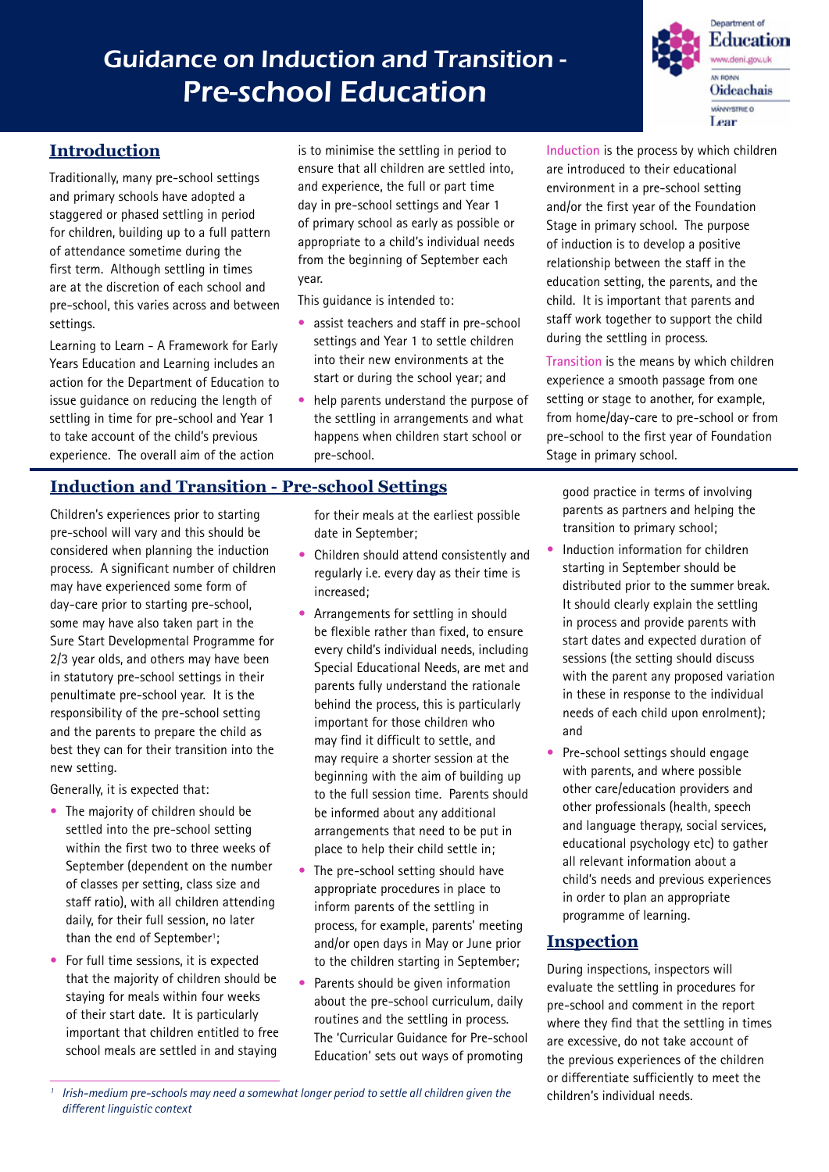## Guidance on Induction and Transition - Pre-school Education



## **Introduction**

Traditionally, many pre-school settings and primary schools have adopted a staggered or phased settling in period for children, building up to a full pattern of attendance sometime during the first term. Although settling in times are at the discretion of each school and pre-school, this varies across and between settings.

Learning to Learn - A Framework for Early Years Education and Learning includes an action for the Department of Education to issue guidance on reducing the length of settling in time for pre-school and Year 1 to take account of the child's previous experience. The overall aim of the action

is to minimise the settling in period to ensure that all children are settled into, and experience, the full or part time day in pre-school settings and Year 1 of primary school as early as possible or appropriate to a child's individual needs from the beginning of September each year.

This guidance is intended to:

- assist teachers and staff in pre-school settings and Year 1 to settle children into their new environments at the start or during the school year; and
- help parents understand the purpose of the settling in arrangements and what happens when children start school or pre-school.

**Induction** is the process by which children are introduced to their educational environment in a pre-school setting and/or the first year of the Foundation Stage in primary school. The purpose of induction is to develop a positive relationship between the staff in the education setting, the parents, and the child. It is important that parents and staff work together to support the child during the settling in process.

**Transition** is the means by which children experience a smooth passage from one setting or stage to another, for example, from home/day-care to pre-school or from pre-school to the first year of Foundation Stage in primary school.

## **Induction and Transition - Pre-school Settings**

Children's experiences prior to starting pre-school will vary and this should be considered when planning the induction process. A significant number of children may have experienced some form of day-care prior to starting pre-school, some may have also taken part in the Sure Start Developmental Programme for 2/3 year olds, and others may have been in statutory pre-school settings in their penultimate pre-school year. It is the responsibility of the pre-school setting and the parents to prepare the child as best they can for their transition into the new setting.

Generally, it is expected that:

- The majority of children should be settled into the pre-school setting within the first two to three weeks of September (dependent on the number of classes per setting, class size and staff ratio), with all children attending daily, for their full session, no later than the end of September<sup>1</sup>;
- For full time sessions, it is expected that the majority of children should be staying for meals within four weeks of their start date. It is particularly important that children entitled to free school meals are settled in and staying

for their meals at the earliest possible date in September;

- • Children should attend consistently and regularly i.e. every day as their time is increased;
- Arrangements for settling in should be flexible rather than fixed, to ensure every child's individual needs, including Special Educational Needs, are met and parents fully understand the rationale behind the process, this is particularly important for those children who may find it difficult to settle, and may require a shorter session at the beginning with the aim of building up to the full session time. Parents should be informed about any additional arrangements that need to be put in place to help their child settle in;
- The pre-school setting should have appropriate procedures in place to inform parents of the settling in process, for example, parents' meeting and/or open days in May or June prior to the children starting in September;
- Parents should be given information about the pre-school curriculum, daily routines and the settling in process. The 'Curricular Guidance for Pre-school Education' sets out ways of promoting

good practice in terms of involving parents as partners and helping the transition to primary school;

- Induction information for children starting in September should be distributed prior to the summer break. It should clearly explain the settling in process and provide parents with start dates and expected duration of sessions (the setting should discuss with the parent any proposed variation in these in response to the individual needs of each child upon enrolment); and
- Pre-school settings should engage with parents, and where possible other care/education providers and other professionals (health, speech and language therapy, social services, educational psychology etc) to gather all relevant information about a child's needs and previous experiences in order to plan an appropriate programme of learning.

### **Inspection**

During inspections, inspectors will evaluate the settling in procedures for pre-school and comment in the report where they find that the settling in times are excessive, do not take account of the previous experiences of the children or differentiate sufficiently to meet the

*<sup>1</sup> Irish-medium pre-schools may need a somewhat longer period to settle all children given the* children's individual needs. *different linguistic context*